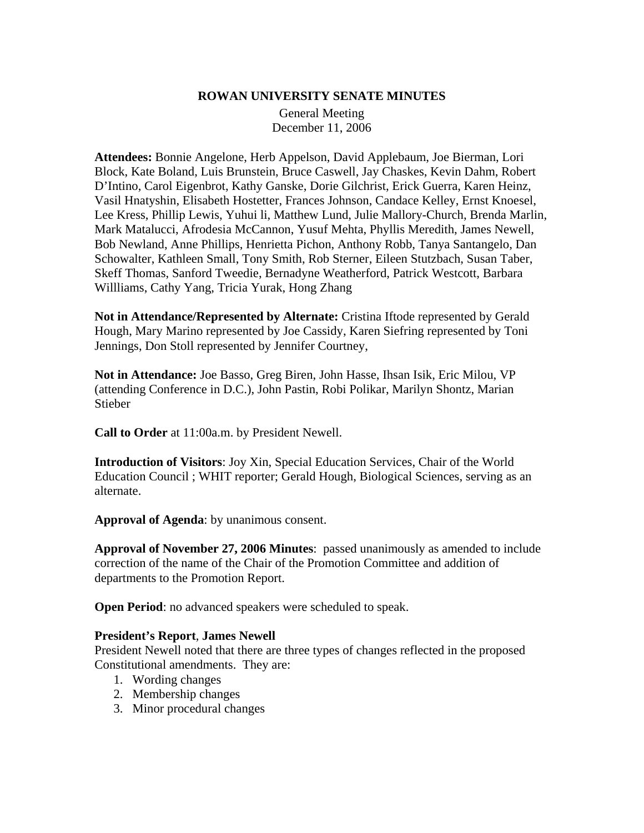#### **ROWAN UNIVERSITY SENATE MINUTES**

General Meeting December 11, 2006

**Attendees:** Bonnie Angelone, Herb Appelson, David Applebaum, Joe Bierman, Lori Block, Kate Boland, Luis Brunstein, Bruce Caswell, Jay Chaskes, Kevin Dahm, Robert D'Intino, Carol Eigenbrot, Kathy Ganske, Dorie Gilchrist, Erick Guerra, Karen Heinz, Vasil Hnatyshin, Elisabeth Hostetter, Frances Johnson, Candace Kelley, Ernst Knoesel, Lee Kress, Phillip Lewis, Yuhui li, Matthew Lund, Julie Mallory-Church, Brenda Marlin, Mark Matalucci, Afrodesia McCannon, Yusuf Mehta, Phyllis Meredith, James Newell, Bob Newland, Anne Phillips, Henrietta Pichon, Anthony Robb, Tanya Santangelo, Dan Schowalter, Kathleen Small, Tony Smith, Rob Sterner, Eileen Stutzbach, Susan Taber, Skeff Thomas, Sanford Tweedie, Bernadyne Weatherford, Patrick Westcott, Barbara Willliams, Cathy Yang, Tricia Yurak, Hong Zhang

**Not in Attendance/Represented by Alternate:** Cristina Iftode represented by Gerald Hough, Mary Marino represented by Joe Cassidy, Karen Siefring represented by Toni Jennings, Don Stoll represented by Jennifer Courtney,

**Not in Attendance:** Joe Basso, Greg Biren, John Hasse, Ihsan Isik, Eric Milou, VP (attending Conference in D.C.), John Pastin, Robi Polikar, Marilyn Shontz, Marian Stieber

**Call to Order** at 11:00a.m. by President Newell.

**Introduction of Visitors**: Joy Xin, Special Education Services, Chair of the World Education Council ; WHIT reporter; Gerald Hough, Biological Sciences, serving as an alternate.

**Approval of Agenda**: by unanimous consent.

**Approval of November 27, 2006 Minutes**: passed unanimously as amended to include correction of the name of the Chair of the Promotion Committee and addition of departments to the Promotion Report.

**Open Period**: no advanced speakers were scheduled to speak.

#### **President's Report**, **James Newell**

President Newell noted that there are three types of changes reflected in the proposed Constitutional amendments. They are:

- 1. Wording changes
- 2. Membership changes
- 3. Minor procedural changes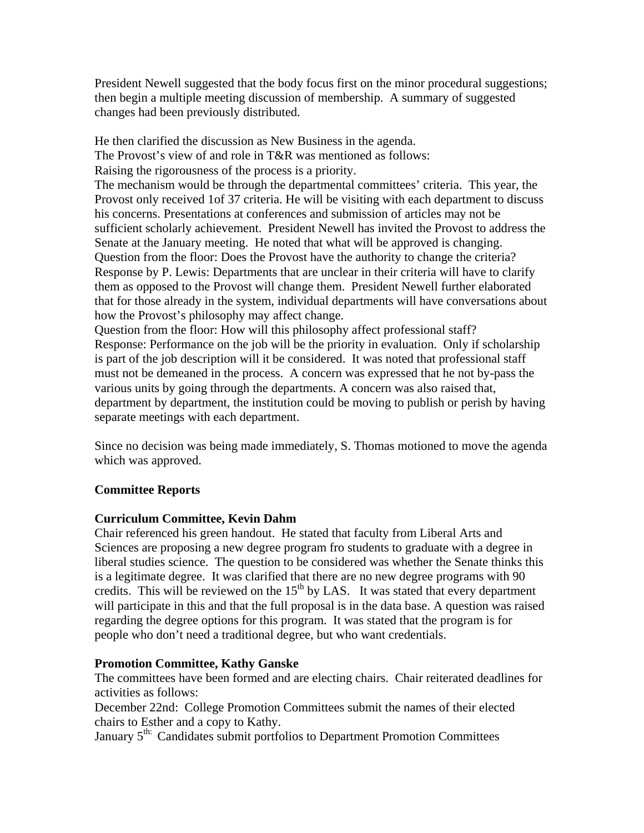President Newell suggested that the body focus first on the minor procedural suggestions; then begin a multiple meeting discussion of membership. A summary of suggested changes had been previously distributed.

He then clarified the discussion as New Business in the agenda. The Provost's view of and role in T&R was mentioned as follows: Raising the rigorousness of the process is a priority. The mechanism would be through the departmental committees' criteria. This year, the Provost only received 1of 37 criteria. He will be visiting with each department to discuss his concerns. Presentations at conferences and submission of articles may not be sufficient scholarly achievement. President Newell has invited the Provost to address the Senate at the January meeting. He noted that what will be approved is changing. Question from the floor: Does the Provost have the authority to change the criteria? Response by P. Lewis: Departments that are unclear in their criteria will have to clarify them as opposed to the Provost will change them. President Newell further elaborated that for those already in the system, individual departments will have conversations about how the Provost's philosophy may affect change.

Question from the floor: How will this philosophy affect professional staff? Response: Performance on the job will be the priority in evaluation. Only if scholarship is part of the job description will it be considered. It was noted that professional staff must not be demeaned in the process. A concern was expressed that he not by-pass the various units by going through the departments. A concern was also raised that, department by department, the institution could be moving to publish or perish by having separate meetings with each department.

Since no decision was being made immediately, S. Thomas motioned to move the agenda which was approved.

### **Committee Reports**

### **Curriculum Committee, Kevin Dahm**

Chair referenced his green handout. He stated that faculty from Liberal Arts and Sciences are proposing a new degree program fro students to graduate with a degree in liberal studies science. The question to be considered was whether the Senate thinks this is a legitimate degree. It was clarified that there are no new degree programs with 90 credits. This will be reviewed on the  $15<sup>th</sup>$  by LAS. It was stated that every department will participate in this and that the full proposal is in the data base. A question was raised regarding the degree options for this program. It was stated that the program is for people who don't need a traditional degree, but who want credentials.

#### **Promotion Committee, Kathy Ganske**

The committees have been formed and are electing chairs. Chair reiterated deadlines for activities as follows:

December 22nd: College Promotion Committees submit the names of their elected chairs to Esther and a copy to Kathy.

January 5<sup>th:</sup> Candidates submit portfolios to Department Promotion Committees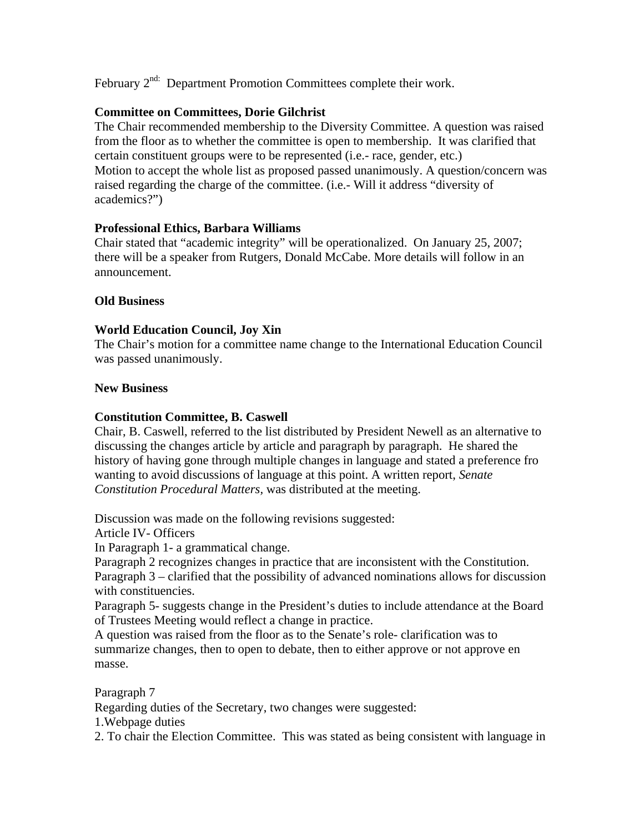February 2<sup>nd:</sup> Department Promotion Committees complete their work.

## **Committee on Committees, Dorie Gilchrist**

The Chair recommended membership to the Diversity Committee. A question was raised from the floor as to whether the committee is open to membership. It was clarified that certain constituent groups were to be represented (i.e.- race, gender, etc.) Motion to accept the whole list as proposed passed unanimously. A question/concern was raised regarding the charge of the committee. (i.e.- Will it address "diversity of academics?")

# **Professional Ethics, Barbara Williams**

Chair stated that "academic integrity" will be operationalized. On January 25, 2007; there will be a speaker from Rutgers, Donald McCabe. More details will follow in an announcement.

### **Old Business**

# **World Education Council, Joy Xin**

The Chair's motion for a committee name change to the International Education Council was passed unanimously.

### **New Business**

## **Constitution Committee, B. Caswell**

Chair, B. Caswell, referred to the list distributed by President Newell as an alternative to discussing the changes article by article and paragraph by paragraph. He shared the history of having gone through multiple changes in language and stated a preference fro wanting to avoid discussions of language at this point. A written report, *Senate Constitution Procedural Matters,* was distributed at the meeting.

Discussion was made on the following revisions suggested:

Article IV- Officers

In Paragraph 1- a grammatical change.

Paragraph 2 recognizes changes in practice that are inconsistent with the Constitution. Paragraph 3 – clarified that the possibility of advanced nominations allows for discussion with constituencies.

Paragraph 5- suggests change in the President's duties to include attendance at the Board of Trustees Meeting would reflect a change in practice.

A question was raised from the floor as to the Senate's role- clarification was to summarize changes, then to open to debate, then to either approve or not approve en masse.

Paragraph 7

Regarding duties of the Secretary, two changes were suggested:

1.Webpage duties

2. To chair the Election Committee. This was stated as being consistent with language in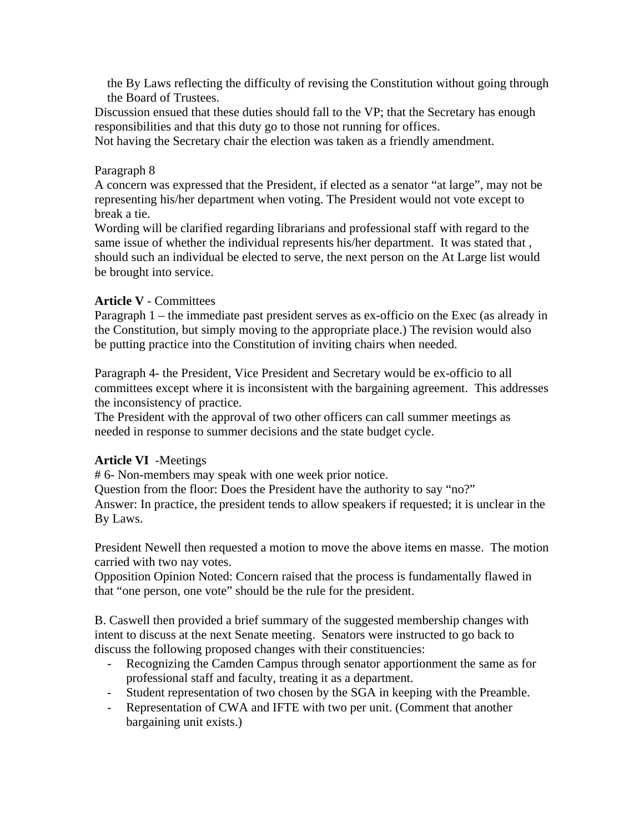the By Laws reflecting the difficulty of revising the Constitution without going through the Board of Trustees.

Discussion ensued that these duties should fall to the VP; that the Secretary has enough responsibilities and that this duty go to those not running for offices.

Not having the Secretary chair the election was taken as a friendly amendment.

#### Paragraph 8

A concern was expressed that the President, if elected as a senator "at large", may not be representing his/her department when voting. The President would not vote except to break a tie.

Wording will be clarified regarding librarians and professional staff with regard to the same issue of whether the individual represents his/her department. It was stated that , should such an individual be elected to serve, the next person on the At Large list would be brought into service.

#### **Article V** - Committees

Paragraph 1 – the immediate past president serves as ex-officio on the Exec (as already in the Constitution, but simply moving to the appropriate place.) The revision would also be putting practice into the Constitution of inviting chairs when needed.

Paragraph 4- the President, Vice President and Secretary would be ex-officio to all committees except where it is inconsistent with the bargaining agreement. This addresses the inconsistency of practice.

The President with the approval of two other officers can call summer meetings as needed in response to summer decisions and the state budget cycle.

### **Article VI** -Meetings

# 6- Non-members may speak with one week prior notice.

Question from the floor: Does the President have the authority to say "no?" Answer: In practice, the president tends to allow speakers if requested; it is unclear in the By Laws.

President Newell then requested a motion to move the above items en masse. The motion carried with two nay votes.

Opposition Opinion Noted: Concern raised that the process is fundamentally flawed in that "one person, one vote" should be the rule for the president.

B. Caswell then provided a brief summary of the suggested membership changes with intent to discuss at the next Senate meeting. Senators were instructed to go back to discuss the following proposed changes with their constituencies:

- Recognizing the Camden Campus through senator apportionment the same as for professional staff and faculty, treating it as a department.
- Student representation of two chosen by the SGA in keeping with the Preamble.
- Representation of CWA and IFTE with two per unit. (Comment that another bargaining unit exists.)